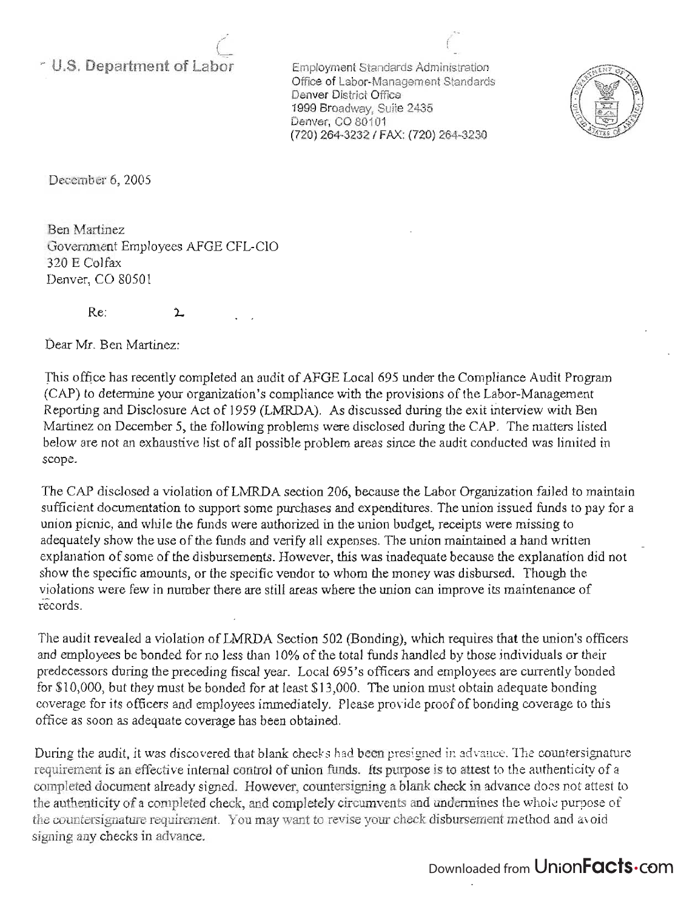## <sup>~</sup>**U.S. Department of Labor**

 $\theta$ ,-

> Employment Standards Administration Office of Labor-Management Standards Denver District Office 1999 Broadway, Suite 2435 Denver, CO 80101 (720) 264-3232 / FAX: (720) 264-3230

(



December 6, 2005

Ben Martinez Government Employees AFGE CFL-CIO 320 E Colfax Denver, CO 80501

> Re:  $\mathbf{r}$

Dear Mr. Ben Martinez:

This office has recently completed an audit of AFGE Local 695 under the Compliance Audit Program (CAP) to determine your organization's compliance with the provisions of the Labor-Management Reporting and Disclosure Act of 1959 (LMRDA). As discussed during the exit interview with Ben Martinez on December 5, the following problems were disclosed during the CAP. The matters listed below are not an exhaustive list of all possible problem areas since the audit conducted was limited in scope.

The CAP disclosed a violation of LMRDA section 206, because the Labor Organization failed to maintain sufficient documentation to support some purchases and expenditures. The union issued funds to pay for a union picnic, and while the funds were authorized in the union budget, receipts were missing to adequately show the use of the funds and verify all expenses. The union maintained a hand written explanation of some of the disbursements. However, this was inadequate because the explanation did not show the specific amounts, or the specific vendor to whom the money was disbursed, Though the violations were few in number there are still areas where the union can improve its maintenance of records.

The audit revealed a violation of LMRDA Section 502 (Bonding), which requires that the union's officers and employees be bonded for no less than 10% of the total funds handled by those individuals or their predecessors during the preceding fiscal year. Local 695's officers and employees are currently bonded for \$10,000, but they must be bonded for at least \$13,000. The union must obtain adequate bonding coverage for its officers and employees immediately. Please provide proof of bonding coverage to this office as soon as adequate coverage has been obtained.

During the audit, it was discovered that blank checks had been presigned in advance. The countersignature requirement is an effective internal control of union funds. Its purpose is to attest to the authenticity of a completed document already signed. However, countersigning a blank check in advance does not attest to the authenticity of a completed check, and completely circumvents and undermines the whole purpose of the countersignature requirement. You may want to revise your check disbursement method and avoid signing any checks in advance.

## Downloaded from UnionFacts.com